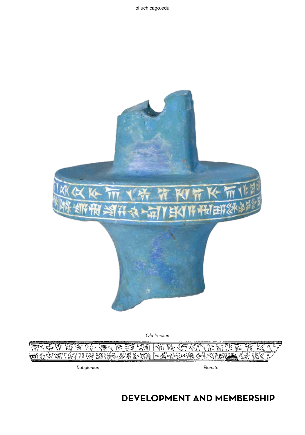



Babylonian Elamite

## **development and membership**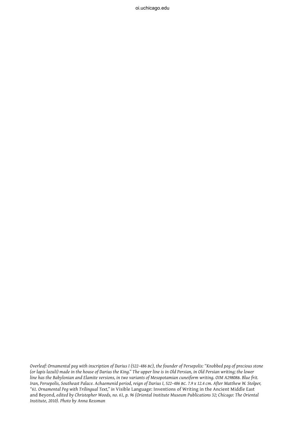*Overleaf: Ornamental peg with inscription of Darius I (522–486 bc), the founder of Persepolis: "Knobbed peg of precious stone (or lapis lazuli) made in the house of Darius the King." The upper line is in Old Persian, in Old Persian writing; the lower line has the Babylonian and Elamite versions, in two variants of Mesopotamian cuneiform writing. OIM A29808b. Blue frit. Iran, Persepolis, Southeast Palace. Achaemenid period, reign of Darius I, 522–486 bc. 7.9 x 12.4 cm. After Matthew W. Stolper, "61. Ornamental Peg with Trilingual Text," in* Visible Language: Inventions of Writing in the Ancient Middle East and Beyond*, edited by Christopher Woods, no. 61, p. 96 (Oriental Institute Museum Publications 32; Chicago: The Oriental Institute, 2010). Photo by Anna Ressman*